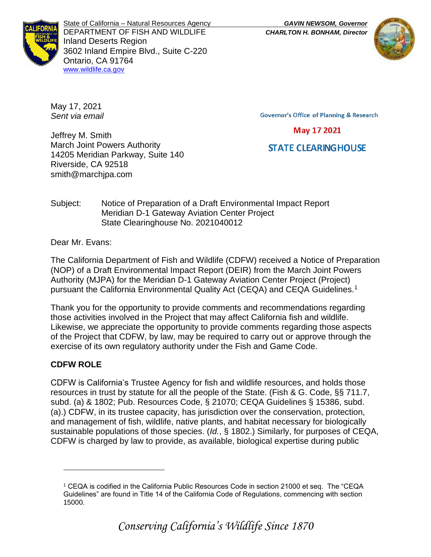

State of California – Natural Resources Agency *GAVIN NEWSOM, Governor* DEPARTMENT OF FISH AND WILDLIFE *CHARLTON H. BONHAM, Director*  Inland Deserts Region 3602 Inland Empire Blvd., Suite C-220 Ontario, CA 91764 [www.wildlife.ca.gov](http://www.cdfw.ca.gov/)



May 17, 2021 *Sent via email*

**Governor's Office of Planning & Research** 

May 17 2021

# **STATE CLEARING HOUSE**

Jeffrey M. Smith March Joint Powers Authority 14205 Meridian Parkway, Suite 140 Riverside, CA 92518 smith@marchjpa.com

#### Subject: Notice of Preparation of a Draft Environmental Impact Report Meridian D-1 Gateway Aviation Center Project State Clearinghouse No. 2021040012

Dear Mr. Evans:

The California Department of Fish and Wildlife (CDFW) received a Notice of Preparation (NOP) of a Draft Environmental Impact Report (DEIR) from the March Joint Powers Authority (MJPA) for the Meridian D-1 Gateway Aviation Center Project (Project) pursuant the California Environmental Quality Act (CEQA) and CEQA Guidelines.<sup>1</sup>

Thank you for the opportunity to provide comments and recommendations regarding those activities involved in the Project that may affect California fish and wildlife. Likewise, we appreciate the opportunity to provide comments regarding those aspects of the Project that CDFW, by law, may be required to carry out or approve through the exercise of its own regulatory authority under the Fish and Game Code.

## **CDFW ROLE**

CDFW is California's Trustee Agency for fish and wildlife resources, and holds those resources in trust by statute for all the people of the State. (Fish & G. Code, §§ 711.7, subd. (a) & 1802; Pub. Resources Code, § 21070; CEQA Guidelines § 15386, subd. (a).) CDFW, in its trustee capacity, has jurisdiction over the conservation, protection, and management of fish, wildlife, native plants, and habitat necessary for biologically sustainable populations of those species. (*Id.*, § 1802.) Similarly, for purposes of CEQA, CDFW is charged by law to provide, as available, biological expertise during public

<sup>1</sup> CEQA is codified in the California Public Resources Code in section 21000 et seq. The "CEQA Guidelines" are found in Title 14 of the California Code of Regulations, commencing with section 15000.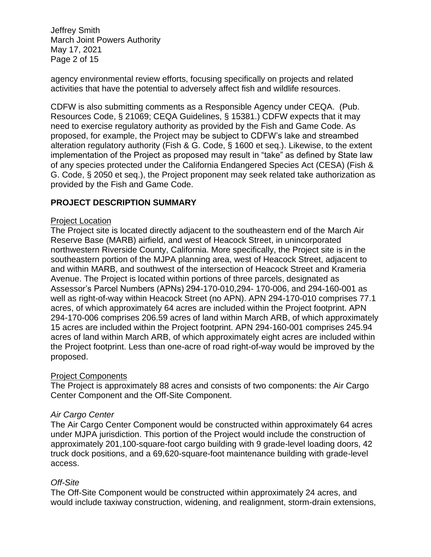Jeffrey Smith March Joint Powers Authority May 17, 2021 Page 2 of 15

agency environmental review efforts, focusing specifically on projects and related activities that have the potential to adversely affect fish and wildlife resources.

CDFW is also submitting comments as a Responsible Agency under CEQA. (Pub. Resources Code, § 21069; CEQA Guidelines, § 15381.) CDFW expects that it may need to exercise regulatory authority as provided by the Fish and Game Code. As proposed, for example, the Project may be subject to CDFW's lake and streambed alteration regulatory authority (Fish & G. Code, § 1600 et seq.). Likewise, to the extent implementation of the Project as proposed may result in "take" as defined by State law of any species protected under the California Endangered Species Act (CESA) (Fish & G. Code, § 2050 et seq.), the Project proponent may seek related take authorization as provided by the Fish and Game Code.

### **PROJECT DESCRIPTION SUMMARY**

#### Project Location

The Project site is located directly adjacent to the southeastern end of the March Air Reserve Base (MARB) airfield, and west of Heacock Street, in unincorporated northwestern Riverside County, California. More specifically, the Project site is in the southeastern portion of the MJPA planning area, west of Heacock Street, adjacent to and within MARB, and southwest of the intersection of Heacock Street and Krameria Avenue. The Project is located within portions of three parcels, designated as Assessor's Parcel Numbers (APNs) 294-170-010,294- 170-006, and 294-160-001 as well as right-of-way within Heacock Street (no APN). APN 294-170-010 comprises 77.1 acres, of which approximately 64 acres are included within the Project footprint. APN 294-170-006 comprises 206.59 acres of land within March ARB, of which approximately 15 acres are included within the Project footprint. APN 294-160-001 comprises 245.94 acres of land within March ARB, of which approximately eight acres are included within the Project footprint. Less than one-acre of road right-of-way would be improved by the proposed.

#### Project Components

The Project is approximately 88 acres and consists of two components: the Air Cargo Center Component and the Off-Site Component.

#### *Air Cargo Center*

The Air Cargo Center Component would be constructed within approximately 64 acres under MJPA jurisdiction. This portion of the Project would include the construction of approximately 201,100-square-foot cargo building with 9 grade-level loading doors, 42 truck dock positions, and a 69,620-square-foot maintenance building with grade-level access.

#### *Off-Site*

The Off-Site Component would be constructed within approximately 24 acres, and would include taxiway construction, widening, and realignment, storm-drain extensions,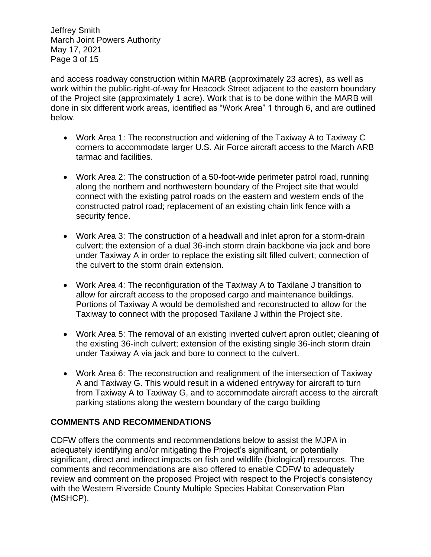Jeffrey Smith March Joint Powers Authority May 17, 2021 Page 3 of 15

and access roadway construction within MARB (approximately 23 acres), as well as work within the public-right-of-way for Heacock Street adjacent to the eastern boundary of the Project site (approximately 1 acre). Work that is to be done within the MARB will done in six different work areas, identified as "Work Area" 1 through 6, and are outlined below.

- Work Area 1: The reconstruction and widening of the Taxiway A to Taxiway C corners to accommodate larger U.S. Air Force aircraft access to the March ARB tarmac and facilities.
- Work Area 2: The construction of a 50-foot-wide perimeter patrol road, running along the northern and northwestern boundary of the Project site that would connect with the existing patrol roads on the eastern and western ends of the constructed patrol road; replacement of an existing chain link fence with a security fence.
- Work Area 3: The construction of a headwall and inlet apron for a storm-drain culvert; the extension of a dual 36-inch storm drain backbone via jack and bore under Taxiway A in order to replace the existing silt filled culvert; connection of the culvert to the storm drain extension.
- Work Area 4: The reconfiguration of the Taxiway A to Taxilane J transition to allow for aircraft access to the proposed cargo and maintenance buildings. Portions of Taxiway A would be demolished and reconstructed to allow for the Taxiway to connect with the proposed Taxilane J within the Project site.
- Work Area 5: The removal of an existing inverted culvert apron outlet; cleaning of the existing 36-inch culvert; extension of the existing single 36-inch storm drain under Taxiway A via jack and bore to connect to the culvert.
- Work Area 6: The reconstruction and realignment of the intersection of Taxiway A and Taxiway G. This would result in a widened entryway for aircraft to turn from Taxiway A to Taxiway G, and to accommodate aircraft access to the aircraft parking stations along the western boundary of the cargo building

### **COMMENTS AND RECOMMENDATIONS**

CDFW offers the comments and recommendations below to assist the MJPA in adequately identifying and/or mitigating the Project's significant, or potentially significant, direct and indirect impacts on fish and wildlife (biological) resources. The comments and recommendations are also offered to enable CDFW to adequately review and comment on the proposed Project with respect to the Project's consistency with the Western Riverside County Multiple Species Habitat Conservation Plan (MSHCP).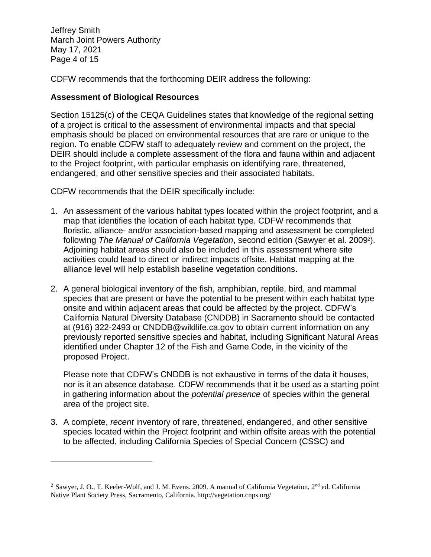Jeffrey Smith March Joint Powers Authority May 17, 2021 Page 4 of 15

CDFW recommends that the forthcoming DEIR address the following:

### **Assessment of Biological Resources**

Section 15125(c) of the CEQA Guidelines states that knowledge of the regional setting of a project is critical to the assessment of environmental impacts and that special emphasis should be placed on environmental resources that are rare or unique to the region. To enable CDFW staff to adequately review and comment on the project, the DEIR should include a complete assessment of the flora and fauna within and adjacent to the Project footprint, with particular emphasis on identifying rare, threatened, endangered, and other sensitive species and their associated habitats.

CDFW recommends that the DEIR specifically include:

- 1. An assessment of the various habitat types located within the project footprint, and a map that identifies the location of each habitat type. CDFW recommends that floristic, alliance- and/or association-based mapping and assessment be completed following *The Manual of California Vegetation*, second edition (Sawyer et al. 2009<sup>2</sup> ). Adjoining habitat areas should also be included in this assessment where site activities could lead to direct or indirect impacts offsite. Habitat mapping at the alliance level will help establish baseline vegetation conditions.
- 2. A general biological inventory of the fish, amphibian, reptile, bird, and mammal species that are present or have the potential to be present within each habitat type onsite and within adjacent areas that could be affected by the project. CDFW's California Natural Diversity Database (CNDDB) in Sacramento should be contacted at (916) 322-2493 or CNDDB@wildlife.ca.gov to obtain current information on any previously reported sensitive species and habitat, including Significant Natural Areas identified under Chapter 12 of the Fish and Game Code, in the vicinity of the proposed Project.

Please note that CDFW's CNDDB is not exhaustive in terms of the data it houses, nor is it an absence database. CDFW recommends that it be used as a starting point in gathering information about the *potential presence* of species within the general area of the project site.

3. A complete, *recent* inventory of rare, threatened, endangered, and other sensitive species located within the Project footprint and within offsite areas with the potential to be affected, including California Species of Special Concern (CSSC) and

<sup>&</sup>lt;sup>2</sup> Sawyer, J. O., T. Keeler-Wolf, and J. M. Evens. 2009. A manual of California Vegetation, 2<sup>nd</sup> ed. California Native Plant Society Press, Sacramento, California. http://vegetation.cnps.org/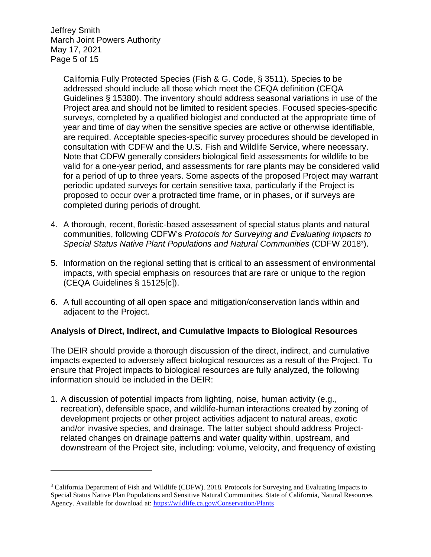Jeffrey Smith March Joint Powers Authority May 17, 2021 Page 5 of 15

> California Fully Protected Species (Fish & G. Code, § 3511). Species to be addressed should include all those which meet the CEQA definition (CEQA Guidelines § 15380). The inventory should address seasonal variations in use of the Project area and should not be limited to resident species. Focused species-specific surveys, completed by a qualified biologist and conducted at the appropriate time of year and time of day when the sensitive species are active or otherwise identifiable, are required. Acceptable species-specific survey procedures should be developed in consultation with CDFW and the U.S. Fish and Wildlife Service, where necessary. Note that CDFW generally considers biological field assessments for wildlife to be valid for a one-year period, and assessments for rare plants may be considered valid for a period of up to three years. Some aspects of the proposed Project may warrant periodic updated surveys for certain sensitive taxa, particularly if the Project is proposed to occur over a protracted time frame, or in phases, or if surveys are completed during periods of drought.

- 4. A thorough, recent, floristic-based assessment of special status plants and natural communities, following CDFW's *Protocols for Surveying and Evaluating Impacts to Special Status Native Plant Populations and Natural Communities* (CDFW 2018<sup>3</sup> ).
- 5. Information on the regional setting that is critical to an assessment of environmental impacts, with special emphasis on resources that are rare or unique to the region (CEQA Guidelines § 15125[c]).
- 6. A full accounting of all open space and mitigation/conservation lands within and adjacent to the Project.

### **Analysis of Direct, Indirect, and Cumulative Impacts to Biological Resources**

The DEIR should provide a thorough discussion of the direct, indirect, and cumulative impacts expected to adversely affect biological resources as a result of the Project. To ensure that Project impacts to biological resources are fully analyzed, the following information should be included in the DEIR:

1. A discussion of potential impacts from lighting, noise, human activity (e.g., recreation), defensible space, and wildlife-human interactions created by zoning of development projects or other project activities adjacent to natural areas, exotic and/or invasive species, and drainage. The latter subject should address Projectrelated changes on drainage patterns and water quality within, upstream, and downstream of the Project site, including: volume, velocity, and frequency of existing

<sup>3</sup> California Department of Fish and Wildlife (CDFW). 2018. Protocols for Surveying and Evaluating Impacts to Special Status Native Plan Populations and Sensitive Natural Communities. State of California, Natural Resources Agency. Available for download at:<https://wildlife.ca.gov/Conservation/Plants>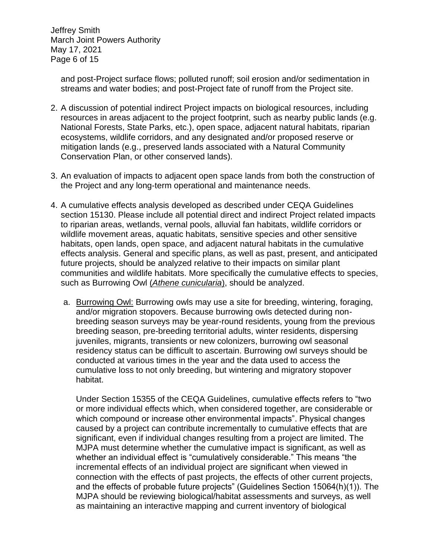Jeffrey Smith March Joint Powers Authority May 17, 2021 Page 6 of 15

and post-Project surface flows; polluted runoff; soil erosion and/or sedimentation in streams and water bodies; and post-Project fate of runoff from the Project site.

- 2. A discussion of potential indirect Project impacts on biological resources, including resources in areas adjacent to the project footprint, such as nearby public lands (e.g. National Forests, State Parks, etc.), open space, adjacent natural habitats, riparian ecosystems, wildlife corridors, and any designated and/or proposed reserve or mitigation lands (e.g., preserved lands associated with a Natural Community Conservation Plan, or other conserved lands).
- 3. An evaluation of impacts to adjacent open space lands from both the construction of the Project and any long-term operational and maintenance needs.
- 4. A cumulative effects analysis developed as described under CEQA Guidelines section 15130. Please include all potential direct and indirect Project related impacts to riparian areas, wetlands, vernal pools, alluvial fan habitats, wildlife corridors or wildlife movement areas, aquatic habitats, sensitive species and other sensitive habitats, open lands, open space, and adjacent natural habitats in the cumulative effects analysis. General and specific plans, as well as past, present, and anticipated future projects, should be analyzed relative to their impacts on similar plant communities and wildlife habitats. More specifically the cumulative effects to species, such as Burrowing Owl (*Athene cunicularia*), should be analyzed.
	- a. Burrowing Owl: Burrowing owls may use a site for breeding, wintering, foraging, and/or migration stopovers. Because burrowing owls detected during nonbreeding season surveys may be year-round residents, young from the previous breeding season, pre-breeding territorial adults, winter residents, dispersing juveniles, migrants, transients or new colonizers, burrowing owl seasonal residency status can be difficult to ascertain. Burrowing owl surveys should be conducted at various times in the year and the data used to access the cumulative loss to not only breeding, but wintering and migratory stopover habitat.

Under Section 15355 of the CEQA Guidelines, cumulative effects refers to "two or more individual effects which, when considered together, are considerable or which compound or increase other environmental impacts". Physical changes caused by a project can contribute incrementally to cumulative effects that are significant, even if individual changes resulting from a project are limited. The MJPA must determine whether the cumulative impact is significant, as well as whether an individual effect is "cumulatively considerable." This means "the incremental effects of an individual project are significant when viewed in connection with the effects of past projects, the effects of other current projects, and the effects of probable future projects" (Guidelines Section 15064(h)(1)). The MJPA should be reviewing biological/habitat assessments and surveys, as well as maintaining an interactive mapping and current inventory of biological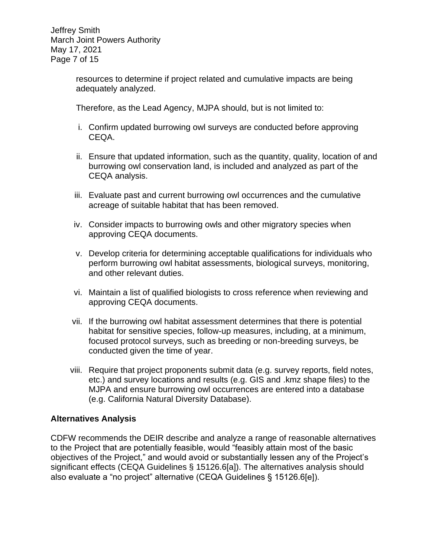Jeffrey Smith March Joint Powers Authority May 17, 2021 Page 7 of 15

> resources to determine if project related and cumulative impacts are being adequately analyzed.

Therefore, as the Lead Agency, MJPA should, but is not limited to:

- i. Confirm updated burrowing owl surveys are conducted before approving CEQA.
- ii. Ensure that updated information, such as the quantity, quality, location of and burrowing owl conservation land, is included and analyzed as part of the CEQA analysis.
- iii. Evaluate past and current burrowing owl occurrences and the cumulative acreage of suitable habitat that has been removed.
- iv. Consider impacts to burrowing owls and other migratory species when approving CEQA documents.
- v. Develop criteria for determining acceptable qualifications for individuals who perform burrowing owl habitat assessments, biological surveys, monitoring, and other relevant duties.
- vi. Maintain a list of qualified biologists to cross reference when reviewing and approving CEQA documents.
- vii. If the burrowing owl habitat assessment determines that there is potential habitat for sensitive species, follow-up measures, including, at a minimum, focused protocol surveys, such as breeding or non-breeding surveys, be conducted given the time of year.
- viii. Require that project proponents submit data (e.g. survey reports, field notes, etc.) and survey locations and results (e.g. GIS and .kmz shape files) to the MJPA and ensure burrowing owl occurrences are entered into a database (e.g. California Natural Diversity Database).

#### **Alternatives Analysis**

CDFW recommends the DEIR describe and analyze a range of reasonable alternatives to the Project that are potentially feasible, would "feasibly attain most of the basic objectives of the Project," and would avoid or substantially lessen any of the Project's significant effects (CEQA Guidelines § 15126.6[a]). The alternatives analysis should also evaluate a "no project" alternative (CEQA Guidelines § 15126.6[e]).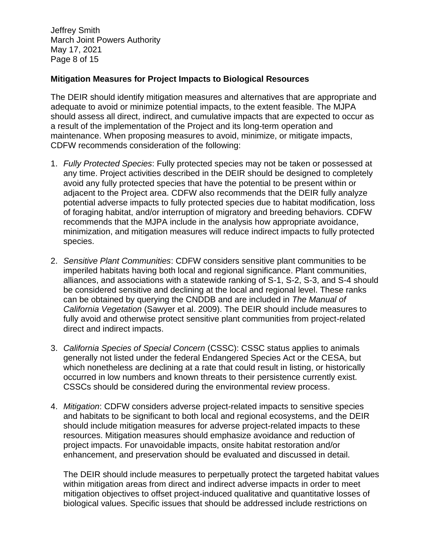Jeffrey Smith March Joint Powers Authority May 17, 2021 Page 8 of 15

#### **Mitigation Measures for Project Impacts to Biological Resources**

The DEIR should identify mitigation measures and alternatives that are appropriate and adequate to avoid or minimize potential impacts, to the extent feasible. The MJPA should assess all direct, indirect, and cumulative impacts that are expected to occur as a result of the implementation of the Project and its long-term operation and maintenance. When proposing measures to avoid, minimize, or mitigate impacts, CDFW recommends consideration of the following:

- 1. *Fully Protected Species*: Fully protected species may not be taken or possessed at any time. Project activities described in the DEIR should be designed to completely avoid any fully protected species that have the potential to be present within or adjacent to the Project area. CDFW also recommends that the DEIR fully analyze potential adverse impacts to fully protected species due to habitat modification, loss of foraging habitat, and/or interruption of migratory and breeding behaviors. CDFW recommends that the MJPA include in the analysis how appropriate avoidance, minimization, and mitigation measures will reduce indirect impacts to fully protected species.
- 2. *Sensitive Plant Communities*: CDFW considers sensitive plant communities to be imperiled habitats having both local and regional significance. Plant communities, alliances, and associations with a statewide ranking of S-1, S-2, S-3, and S-4 should be considered sensitive and declining at the local and regional level. These ranks can be obtained by querying the CNDDB and are included in *The Manual of California Vegetation* (Sawyer et al. 2009). The DEIR should include measures to fully avoid and otherwise protect sensitive plant communities from project-related direct and indirect impacts.
- 3. *California Species of Special Concern* (CSSC): CSSC status applies to animals generally not listed under the federal Endangered Species Act or the CESA, but which nonetheless are declining at a rate that could result in listing, or historically occurred in low numbers and known threats to their persistence currently exist. CSSCs should be considered during the environmental review process.
- 4. *Mitigation*: CDFW considers adverse project-related impacts to sensitive species and habitats to be significant to both local and regional ecosystems, and the DEIR should include mitigation measures for adverse project-related impacts to these resources. Mitigation measures should emphasize avoidance and reduction of project impacts. For unavoidable impacts, onsite habitat restoration and/or enhancement, and preservation should be evaluated and discussed in detail.

The DEIR should include measures to perpetually protect the targeted habitat values within mitigation areas from direct and indirect adverse impacts in order to meet mitigation objectives to offset project-induced qualitative and quantitative losses of biological values. Specific issues that should be addressed include restrictions on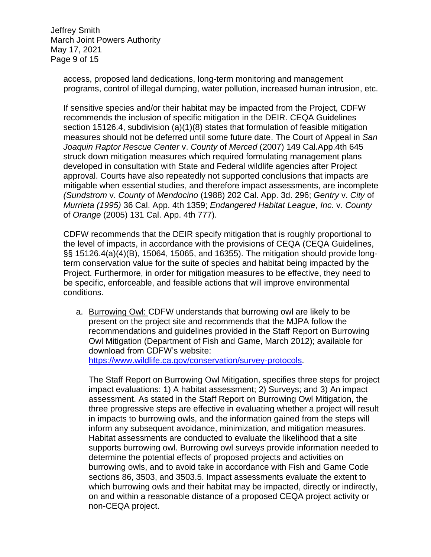Jeffrey Smith March Joint Powers Authority May 17, 2021 Page 9 of 15

> access, proposed land dedications, long-term monitoring and management programs, control of illegal dumping, water pollution, increased human intrusion, etc.

> If sensitive species and/or their habitat may be impacted from the Project, CDFW recommends the inclusion of specific mitigation in the DEIR. CEQA Guidelines section 15126.4, subdivision (a)(1)(8) states that formulation of feasible mitigation measures should not be deferred until some future date. The Court of Appeal in *San Joaquin Raptor Rescue Center* v. *County* of *Merced* (2007) 149 Cal.App.4th 645 struck down mitigation measures which required formulating management plans developed in consultation with State and Federal wildlife agencies after Project approval. Courts have also repeatedly not supported conclusions that impacts are mitigable when essential studies, and therefore impact assessments, are incomplete *(Sundstrom* v. *County* of *Mendocino* (1988) 202 Cal. App. 3d. 296; *Gentry* v. *City* of *Murrieta (1995)* 36 Cal. App. 4th 1359; *Endangered Habitat League, Inc.* v. *County*  of *Orange* (2005) 131 Cal. App. 4th 777).

> CDFW recommends that the DEIR specify mitigation that is roughly proportional to the level of impacts, in accordance with the provisions of CEQA (CEQA Guidelines, §§ 15126.4(a)(4)(B), 15064, 15065, and 16355). The mitigation should provide longterm conservation value for the suite of species and habitat being impacted by the Project. Furthermore, in order for mitigation measures to be effective, they need to be specific, enforceable, and feasible actions that will improve environmental conditions.

a. Burrowing Owl: CDFW understands that burrowing owl are likely to be present on the project site and recommends that the MJPA follow the recommendations and guidelines provided in the Staff Report on Burrowing Owl Mitigation (Department of Fish and Game, March 2012); available for download from CDFW's website:

[https://www.wildlife.ca.gov/conservation/survey-protocols.](https://www.wildlife.ca.gov/conservation/survey-protocols)

The Staff Report on Burrowing Owl Mitigation, specifies three steps for project impact evaluations: 1) A habitat assessment; 2) Surveys; and 3) An impact assessment. As stated in the Staff Report on Burrowing Owl Mitigation, the three progressive steps are effective in evaluating whether a project will result in impacts to burrowing owls, and the information gained from the steps will inform any subsequent avoidance, minimization, and mitigation measures. Habitat assessments are conducted to evaluate the likelihood that a site supports burrowing owl. Burrowing owl surveys provide information needed to determine the potential effects of proposed projects and activities on burrowing owls, and to avoid take in accordance with Fish and Game Code sections 86, 3503, and 3503.5. Impact assessments evaluate the extent to which burrowing owls and their habitat may be impacted, directly or indirectly, on and within a reasonable distance of a proposed CEQA project activity or non-CEQA project.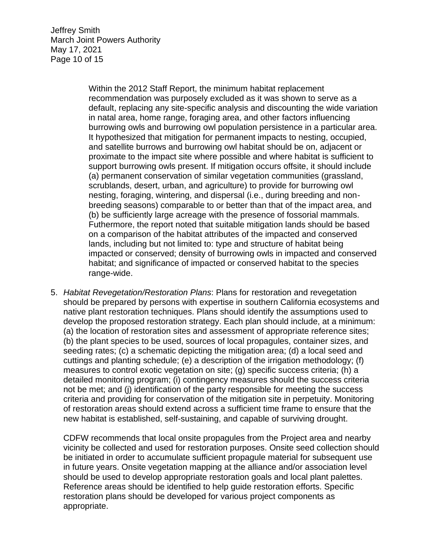Jeffrey Smith March Joint Powers Authority May 17, 2021 Page 10 of 15

> Within the 2012 Staff Report, the minimum habitat replacement recommendation was purposely excluded as it was shown to serve as a default, replacing any site-specific analysis and discounting the wide variation in natal area, home range, foraging area, and other factors influencing burrowing owls and burrowing owl population persistence in a particular area. It hypothesized that mitigation for permanent impacts to nesting, occupied, and satellite burrows and burrowing owl habitat should be on, adjacent or proximate to the impact site where possible and where habitat is sufficient to support burrowing owls present. If mitigation occurs offsite, it should include (a) permanent conservation of similar vegetation communities (grassland, scrublands, desert, urban, and agriculture) to provide for burrowing owl nesting, foraging, wintering, and dispersal (i.e., during breeding and nonbreeding seasons) comparable to or better than that of the impact area, and (b) be sufficiently large acreage with the presence of fossorial mammals. Futhermore, the report noted that suitable mitigation lands should be based on a comparison of the habitat attributes of the impacted and conserved lands, including but not limited to: type and structure of habitat being impacted or conserved; density of burrowing owls in impacted and conserved habitat; and significance of impacted or conserved habitat to the species range-wide.

5. *Habitat Revegetation/Restoration Plans*: Plans for restoration and revegetation should be prepared by persons with expertise in southern California ecosystems and native plant restoration techniques. Plans should identify the assumptions used to develop the proposed restoration strategy. Each plan should include, at a minimum: (a) the location of restoration sites and assessment of appropriate reference sites; (b) the plant species to be used, sources of local propagules, container sizes, and seeding rates; (c) a schematic depicting the mitigation area; (d) a local seed and cuttings and planting schedule; (e) a description of the irrigation methodology; (f) measures to control exotic vegetation on site; (g) specific success criteria; (h) a detailed monitoring program; (i) contingency measures should the success criteria not be met; and (j) identification of the party responsible for meeting the success criteria and providing for conservation of the mitigation site in perpetuity. Monitoring of restoration areas should extend across a sufficient time frame to ensure that the new habitat is established, self-sustaining, and capable of surviving drought.

CDFW recommends that local onsite propagules from the Project area and nearby vicinity be collected and used for restoration purposes. Onsite seed collection should be initiated in order to accumulate sufficient propagule material for subsequent use in future years. Onsite vegetation mapping at the alliance and/or association level should be used to develop appropriate restoration goals and local plant palettes. Reference areas should be identified to help guide restoration efforts. Specific restoration plans should be developed for various project components as appropriate.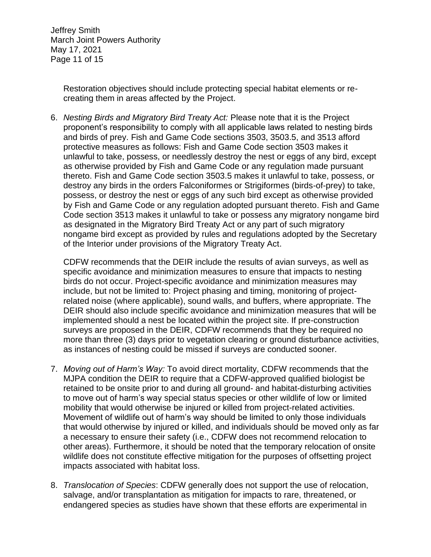Jeffrey Smith March Joint Powers Authority May 17, 2021 Page 11 of 15

> Restoration objectives should include protecting special habitat elements or recreating them in areas affected by the Project.

6. *Nesting Birds and Migratory Bird Treaty Act:* Please note that it is the Project proponent's responsibility to comply with all applicable laws related to nesting birds and birds of prey. Fish and Game Code sections 3503, 3503.5, and 3513 afford protective measures as follows: Fish and Game Code section 3503 makes it unlawful to take, possess, or needlessly destroy the nest or eggs of any bird, except as otherwise provided by Fish and Game Code or any regulation made pursuant thereto. Fish and Game Code section 3503.5 makes it unlawful to take, possess, or destroy any birds in the orders Falconiformes or Strigiformes (birds-of-prey) to take, possess, or destroy the nest or eggs of any such bird except as otherwise provided by Fish and Game Code or any regulation adopted pursuant thereto. Fish and Game Code section 3513 makes it unlawful to take or possess any migratory nongame bird as designated in the Migratory Bird Treaty Act or any part of such migratory nongame bird except as provided by rules and regulations adopted by the Secretary of the Interior under provisions of the Migratory Treaty Act.

CDFW recommends that the DEIR include the results of avian surveys, as well as specific avoidance and minimization measures to ensure that impacts to nesting birds do not occur. Project-specific avoidance and minimization measures may include, but not be limited to: Project phasing and timing, monitoring of projectrelated noise (where applicable), sound walls, and buffers, where appropriate. The DEIR should also include specific avoidance and minimization measures that will be implemented should a nest be located within the project site. If pre-construction surveys are proposed in the DEIR, CDFW recommends that they be required no more than three (3) days prior to vegetation clearing or ground disturbance activities, as instances of nesting could be missed if surveys are conducted sooner.

- 7. *Moving out of Harm's Way:* To avoid direct mortality, CDFW recommends that the MJPA condition the DEIR to require that a CDFW-approved qualified biologist be retained to be onsite prior to and during all ground- and habitat-disturbing activities to move out of harm's way special status species or other wildlife of low or limited mobility that would otherwise be injured or killed from project-related activities. Movement of wildlife out of harm's way should be limited to only those individuals that would otherwise by injured or killed, and individuals should be moved only as far a necessary to ensure their safety (i.e., CDFW does not recommend relocation to other areas). Furthermore, it should be noted that the temporary relocation of onsite wildlife does not constitute effective mitigation for the purposes of offsetting project impacts associated with habitat loss.
- 8. *Translocation of Species*: CDFW generally does not support the use of relocation, salvage, and/or transplantation as mitigation for impacts to rare, threatened, or endangered species as studies have shown that these efforts are experimental in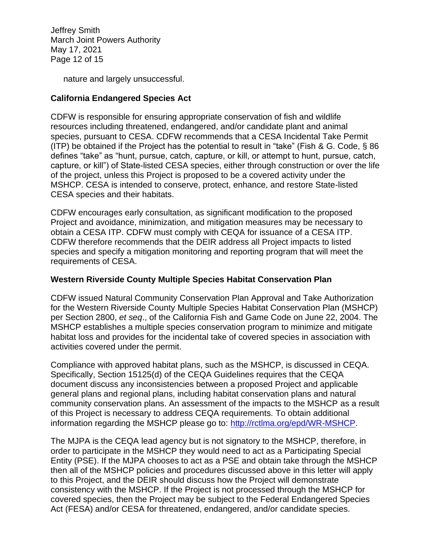Jeffrey Smith March Joint Powers Authority May 17, 2021 Page 12 of 15

nature and largely unsuccessful.

### **California Endangered Species Act**

CDFW is responsible for ensuring appropriate conservation of fish and wildlife resources including threatened, endangered, and/or candidate plant and animal species, pursuant to CESA. CDFW recommends that a CESA Incidental Take Permit (ITP) be obtained if the Project has the potential to result in "take" (Fish & G. Code, § 86 defines "take" as "hunt, pursue, catch, capture, or kill, or attempt to hunt, pursue, catch, capture, or kill") of State-listed CESA species, either through construction or over the life of the project, unless this Project is proposed to be a covered activity under the MSHCP. CESA is intended to conserve, protect, enhance, and restore State-listed CESA species and their habitats.

CDFW encourages early consultation, as significant modification to the proposed Project and avoidance, minimization, and mitigation measures may be necessary to obtain a CESA ITP. CDFW must comply with CEQA for issuance of a CESA ITP. CDFW therefore recommends that the DEIR address all Project impacts to listed species and specify a mitigation monitoring and reporting program that will meet the requirements of CESA.

#### **Western Riverside County Multiple Species Habitat Conservation Plan**

CDFW issued Natural Community Conservation Plan Approval and Take Authorization for the Western Riverside County Multiple Species Habitat Conservation Plan (MSHCP) per Section 2800, *et seq*., of the California Fish and Game Code on June 22, 2004. The MSHCP establishes a multiple species conservation program to minimize and mitigate habitat loss and provides for the incidental take of covered species in association with activities covered under the permit.

Compliance with approved habitat plans, such as the MSHCP, is discussed in CEQA. Specifically, Section 15125(d) of the CEQA Guidelines requires that the CEQA document discuss any inconsistencies between a proposed Project and applicable general plans and regional plans, including habitat conservation plans and natural community conservation plans. An assessment of the impacts to the MSHCP as a result of this Project is necessary to address CEQA requirements. To obtain additional information regarding the MSHCP please go to: [http://rctlma.org/epd/WR-MSHCP.](http://rctlma.org/epd/WR-MSHCP)

The MJPA is the CEQA lead agency but is not signatory to the MSHCP, therefore, in order to participate in the MSHCP they would need to act as a Participating Special Entity (PSE). If the MJPA chooses to act as a PSE and obtain take through the MSHCP then all of the MSHCP policies and procedures discussed above in this letter will apply to this Project, and the DEIR should discuss how the Project will demonstrate consistency with the MSHCP. If the Project is not processed through the MSHCP for covered species, then the Project may be subject to the Federal Endangered Species Act (FESA) and/or CESA for threatened, endangered, and/or candidate species.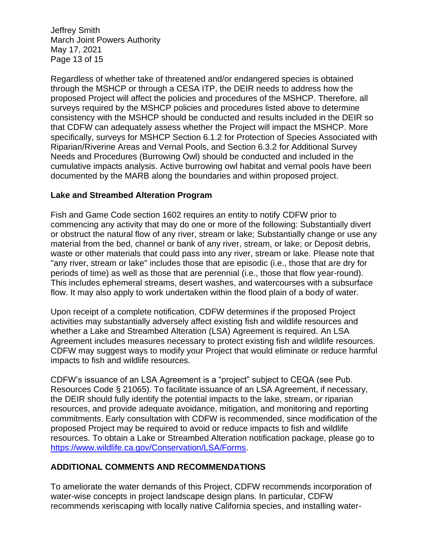Jeffrey Smith March Joint Powers Authority May 17, 2021 Page 13 of 15

Regardless of whether take of threatened and/or endangered species is obtained through the MSHCP or through a CESA ITP, the DEIR needs to address how the proposed Project will affect the policies and procedures of the MSHCP. Therefore, all surveys required by the MSHCP policies and procedures listed above to determine consistency with the MSHCP should be conducted and results included in the DEIR so that CDFW can adequately assess whether the Project will impact the MSHCP. More specifically, surveys for MSHCP Section 6.1.2 for Protection of Species Associated with Riparian/Riverine Areas and Vernal Pools, and Section 6.3.2 for Additional Survey Needs and Procedures (Burrowing Owl) should be conducted and included in the cumulative impacts analysis. Active burrowing owl habitat and vernal pools have been documented by the MARB along the boundaries and within proposed project.

#### **Lake and Streambed Alteration Program**

Fish and Game Code section 1602 requires an entity to notify CDFW prior to commencing any activity that may do one or more of the following: Substantially divert or obstruct the natural flow of any river, stream or lake; Substantially change or use any material from the bed, channel or bank of any river, stream, or lake; or Deposit debris, waste or other materials that could pass into any river, stream or lake. Please note that "any river, stream or lake" includes those that are episodic (i.e., those that are dry for periods of time) as well as those that are perennial (i.e., those that flow year-round). This includes ephemeral streams, desert washes, and watercourses with a subsurface flow. It may also apply to work undertaken within the flood plain of a body of water.

Upon receipt of a complete notification, CDFW determines if the proposed Project activities may substantially adversely affect existing fish and wildlife resources and whether a Lake and Streambed Alteration (LSA) Agreement is required. An LSA Agreement includes measures necessary to protect existing fish and wildlife resources. CDFW may suggest ways to modify your Project that would eliminate or reduce harmful impacts to fish and wildlife resources.

CDFW's issuance of an LSA Agreement is a "project" subject to CEQA (see Pub. Resources Code § 21065). To facilitate issuance of an LSA Agreement, if necessary, the DEIR should fully identify the potential impacts to the lake, stream, or riparian resources, and provide adequate avoidance, mitigation, and monitoring and reporting commitments. Early consultation with CDFW is recommended, since modification of the proposed Project may be required to avoid or reduce impacts to fish and wildlife resources. To obtain a Lake or Streambed Alteration notification package, please go to [https://www.wildlife.ca.gov/Conservation/LSA/Forms.](https://www.wildlife.ca.gov/Conservation/LSA/Forms)

### **ADDITIONAL COMMENTS AND RECOMMENDATIONS**

To ameliorate the water demands of this Project, CDFW recommends incorporation of water-wise concepts in project landscape design plans. In particular, CDFW recommends xeriscaping with locally native California species, and installing water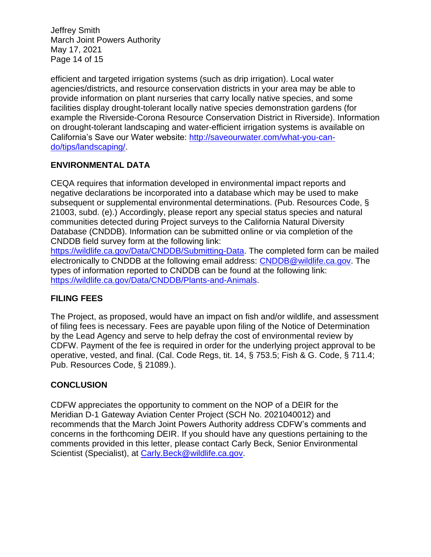Jeffrey Smith March Joint Powers Authority May 17, 2021 Page 14 of 15

efficient and targeted irrigation systems (such as drip irrigation). Local water agencies/districts, and resource conservation districts in your area may be able to provide information on plant nurseries that carry locally native species, and some facilities display drought-tolerant locally native species demonstration gardens (for example the Riverside-Corona Resource Conservation District in Riverside). Information on drought-tolerant landscaping and water-efficient irrigation systems is available on California's Save our Water website: [http://saveourwater.com/what-you-can](http://saveourwater.com/what-you-can-do/tips/landscaping/)[do/tips/landscaping/.](http://saveourwater.com/what-you-can-do/tips/landscaping/)

### **ENVIRONMENTAL DATA**

CEQA requires that information developed in environmental impact reports and negative declarations be incorporated into a database which may be used to make subsequent or supplemental environmental determinations. (Pub. Resources Code, § 21003, subd. (e).) Accordingly, please report any special status species and natural communities detected during Project surveys to the California Natural Diversity Database (CNDDB). Information can be submitted online or via completion of the CNDDB field survey form at the following link:

[https://wildlife.ca.gov/Data/CNDDB/Submitting-Data.](https://wildlife.ca.gov/Data/CNDDB/Submitting-Data) The completed form can be mailed electronically to CNDDB at the following email address: [CNDDB@wildlife.ca.gov.](mailto:cnddb@dfg.ca.gov) The types of information reported to CNDDB can be found at the following link: [https://wildlife.ca.gov/Data/CNDDB/Plants-and-Animals.](https://wildlife.ca.gov/Data/CNDDB/Plants-and-Animals)

### **FILING FEES**

The Project, as proposed, would have an impact on fish and/or wildlife, and assessment of filing fees is necessary. Fees are payable upon filing of the Notice of Determination by the Lead Agency and serve to help defray the cost of environmental review by CDFW. Payment of the fee is required in order for the underlying project approval to be operative, vested, and final. (Cal. Code Regs, tit. 14, § 753.5; Fish & G. Code, § 711.4; Pub. Resources Code, § 21089.).

### **CONCLUSION**

CDFW appreciates the opportunity to comment on the NOP of a DEIR for the Meridian D-1 Gateway Aviation Center Project (SCH No. 2021040012) and recommends that the March Joint Powers Authority address CDFW's comments and concerns in the forthcoming DEIR. If you should have any questions pertaining to the comments provided in this letter, please contact Carly Beck, Senior Environmental Scientist (Specialist), at [Carly.Beck@wildlife.ca.gov.](mailto:Rose.Banks@wildlife.ca.gov)